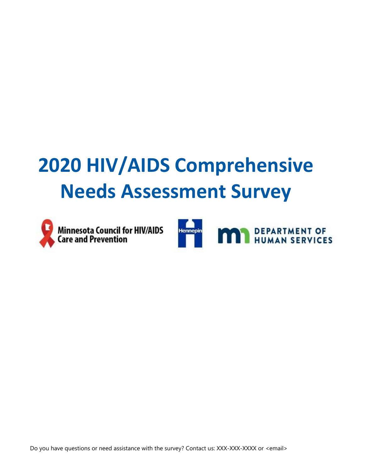# **2020 HIV/AIDS Comprehensive Needs Assessment Survey**



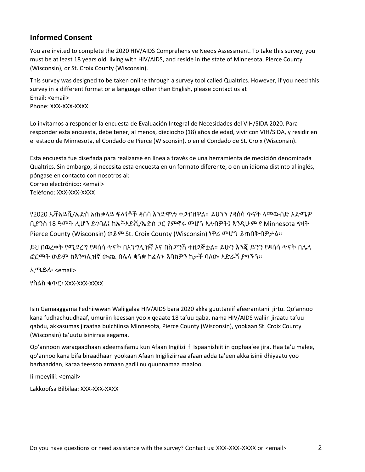### **Informed Consent**

You are invited to complete the 2020 HIV/AIDS Comprehensive Needs Assessment. To take this survey, you must be at least 18 years old, living with HIV/AIDS, and reside in the state of Minnesota, Pierce County (Wisconsin), or St. Croix County (Wisconsin).

This survey was designed to be taken online through a survey tool called Qualtrics. However, if you need this survey in a different format or a language other than English, please contact us at Email: <email> Phone: XXX-XXX-XXXX

Lo invitamos a responder la encuesta de Evaluación Integral de Necesidades del VIH/SIDA 2020. Para responder esta encuesta, debe tener, al menos, dieciocho (18) años de edad, vivir con VIH/SIDA, y residir en el estado de Minnesota, el Condado de Pierce (Wisconsin), o en el Condado de St. Croix (Wisconsin).

Esta encuesta fue diseñada para realizarse en línea a través de una herramienta de medición denominada Qualtrics. Sin embargo, si necesita esta encuesta en un formato diferente, o en un idioma distinto al inglés, póngase en contacto con nosotros al: Correo electrónico: [<email>](mailto:NA2020@hennepin.us) Teléfono: XXX-XXX-XXXX

የ2020 ኤችአይቪ/ኤድስ አጠቃላይ ፍላጎቶች ዳሰሳ እንድሞሉ ተጋብዘዋል፡፡ ይህንን የዳሰሳ ጥናት ለመውሰድ እድሜዎ ቢያንስ 18 ዓመት ሊሆን ይገባል፤ ከኤችአይቪ/ኤድስ ጋር የምኖሩ መሆን አለብዎት፤ እንዲሁም የ Minnesota ግዛት Pierce County (Wisconsin) ወይም St. Croix County (Wisconsin) ነዋሪ መሆን ይጠበቅብዎታል፡፡

ይህ በወረቀት የሚደረግ የዳሰሳ ጥናት በእንግሊዝኛ እና በስፓንሽ ተዘጋጅቷል፡፡ ይሁን እንጂ ይንን የዳሰሳ ጥናት በሌላ ፎርማት ወይም ከእንግሊዝኛ ውጪ በሌላ ቋንቋ ከፈለጉ እባክዎን ከታች ባለው አድራሻ ያግኙን፡፡

ኢሜይል፡ <email>

የስልክ ቁጥር፡ XXX-XXX-XXXX

Isin Gamaaggama Fedhiiwwan Waliigalaa HIV/AIDS bara 2020 akka guuttaniif afeeramtanii jirtu. Qo'annoo kana fudhachuudhaaf, umuriin keessan yoo xiqqaate 18 ta'uu qaba, nama HIV/AIDS waliin jiraatu ta'uu qabdu, akkasumas jiraataa bulchiinsa Minnesota, Pierce County (Wisconsin), yookaan St. Croix County (Wisconsin) ta'uutu isinirraa eegama.

Qo'annoon waraqaadhaan adeemsifamu kun Afaan Ingilizii fi Ispaanishiitiin qophaa'ee jira. Haa ta'u malee, qo'annoo kana bifa biraadhaan yookaan Afaan Inigiliziirraa afaan adda ta'een akka isinii dhiyaatu yoo barbaaddan, karaa teessoo armaan gadii nu quunnamaa maaloo.

Ii-meeyilii: <email>

Lakkoofsa Bilbilaa: XXX-XXX-XXXX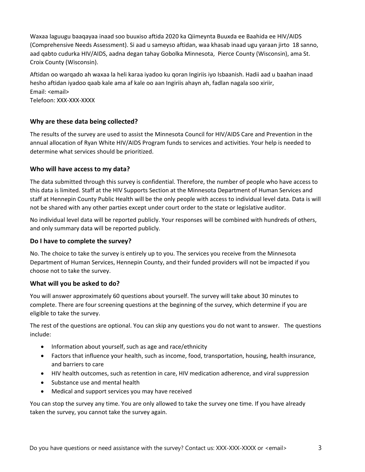Waxaa laguugu baaqayaa inaad soo buuxiso aftida 2020 ka Qiimeynta Buuxda ee Baahida ee HIV/AIDS (Comprehensive Needs Assessment). Si aad u sameyso aftidan, waa khasab inaad ugu yaraan jirto 18 sanno, aad qabto cudurka HIV/AIDS, aadna degan tahay Gobolka Minnesota, Pierce County (Wisconsin), ama St. Croix County (Wisconsin).

Aftidan oo warqado ah waxaa la heli karaa iyadoo ku qoran Ingiriis iyo Isbaanish. Hadii aad u baahan inaad hesho aftidan iyadoo qaab kale ama af kale oo aan Ingiriis ahayn ah, fadlan nagala soo xiriir, Email: <email> Telefoon: XXX-XXX-XXXX

#### **Why are these data being collected?**

The results of the survey are used to assist the Minnesota Council for HIV/AIDS Care and Prevention in the annual allocation of Ryan White HIV/AIDS Program funds to services and activities. Your help is needed to determine what services should be prioritized.

#### **Who will have access to my data?**

The data submitted through this survey is confidential. Therefore, the number of people who have access to this data is limited. Staff at the HIV Supports Section at the Minnesota Department of Human Services and staff at Hennepin County Public Health will be the only people with access to individual level data. Data is will not be shared with any other parties except under court order to the state or legislative auditor.

No individual level data will be reported publicly. Your responses will be combined with hundreds of others, and only summary data will be reported publicly.

#### **Do I have to complete the survey?**

No. The choice to take the survey is entirely up to you. The services you receive from the Minnesota Department of Human Services, Hennepin County, and their funded providers will not be impacted if you choose not to take the survey.

#### **What will you be asked to do?**

You will answer approximately 60 questions about yourself. The survey will take about 30 minutes to complete. There are four screening questions at the beginning of the survey, which determine if you are eligible to take the survey.

The rest of the questions are optional. You can skip any questions you do not want to answer. The questions include:

- Information about yourself, such as age and race/ethnicity
- Factors that influence your health, such as income, food, transportation, housing, health insurance, and barriers to care
- HIV health outcomes, such as retention in care, HIV medication adherence, and viral suppression
- Substance use and mental health
- Medical and support services you may have received

You can stop the survey any time. You are only allowed to take the survey one time. If you have already taken the survey, you cannot take the survey again.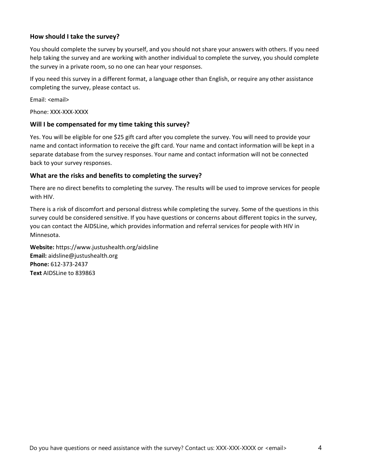#### **How should I take the survey?**

You should complete the survey by yourself, and you should not share your answers with others. If you need help taking the survey and are working with another individual to complete the survey, you should complete the survey in a private room, so no one can hear your responses.

If you need this survey in a different format, a language other than English, or require any other assistance completing the survey, please contact us.

Email: <email>

Phone: XXX-XXX-XXXX

#### **Will I be compensated for my time taking this survey?**

Yes. You will be eligible for one \$25 gift card after you complete the survey. You will need to provide your name and contact information to receive the gift card. Your name and contact information will be kept in a separate database from the survey responses. Your name and contact information will not be connected back to your survey responses.

#### **What are the risks and benefits to completing the survey?**

There are no direct benefits to completing the survey. The results will be used to improve services for people with HIV.

There is a risk of discomfort and personal distress while completing the survey. Some of the questions in this survey could be considered sensitive. If you have questions or concerns about different topics in the survey, you can contact the AIDSLine, which provides information and referral services for people with HIV in Minnesota.

**Website:** https://www.justushealth.org/aidsline **Email:** aidsline@justushealth.org **Phone:** 612-373-2437 **Text** AIDSLine to 839863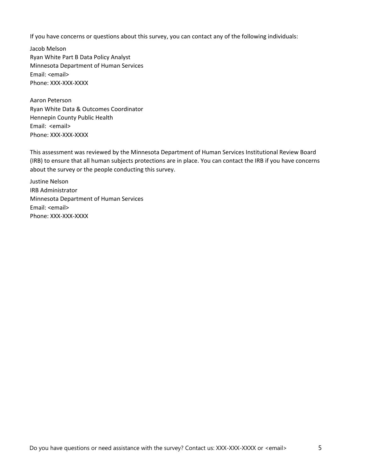If you have concerns or questions about this survey, you can contact any of the following individuals:

Jacob Melson Ryan White Part B Data Policy Analyst Minnesota Department of Human Services Email: <email> Phone: XXX-XXX-XXXX

Aaron Peterson Ryan White Data & Outcomes Coordinator Hennepin County Public Health Email: <email> Phone: XXX-XXX-XXXX

This assessment was reviewed by the Minnesota Department of Human Services Institutional Review Board (IRB) to ensure that all human subjects protections are in place. You can contact the IRB if you have concerns about the survey or the people conducting this survey.

Justine Nelson IRB Administrator Minnesota Department of Human Services Email: <email> Phone: XXX-XXX-XXXX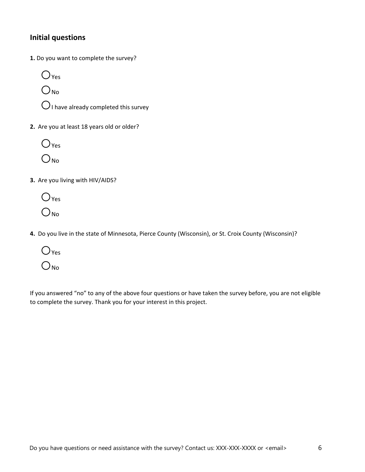# **Initial questions**

**1.** Do you want to complete the survey?

 $O<sub>Yes</sub>$ O<sub>No</sub>

 $\bigcirc$  I have already completed this survey

**2.** Are you at least 18 years old or older?



- **3.** Are you living with HIV/AIDS?
	- $O_{Yes}$  $O_{N_0}$
- **4.** Do you live in the state of Minnesota, Pierce County (Wisconsin), or St. Croix County (Wisconsin)?
	- ○Yes  $O_{N_0}$

If you answered "no" to any of the above four questions or have taken the survey before, you are not eligible to complete the survey. Thank you for your interest in this project.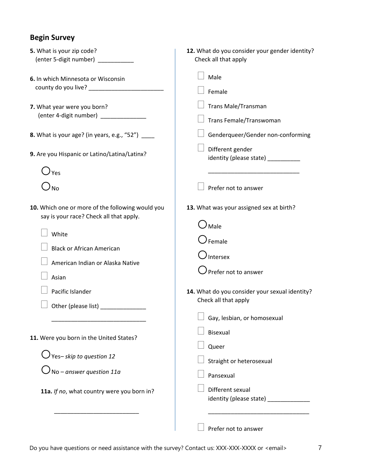# **Begin Survey**

| 5. What is your zip code?                                                                   | 12. What do you consider your gender identity?        |  |  |
|---------------------------------------------------------------------------------------------|-------------------------------------------------------|--|--|
| (enter 5-digit number) __________                                                           | Check all that apply                                  |  |  |
| 6. In which Minnesota or Wisconsin                                                          | Male                                                  |  |  |
|                                                                                             | Female                                                |  |  |
| 7. What year were you born?                                                                 | Trans Male/Transman                                   |  |  |
| (enter 4-digit number) _____________                                                        | Trans Female/Transwoman                               |  |  |
| <b>8.</b> What is your age? (in years, e.g., "52") _____                                    | Genderqueer/Gender non-conforming                     |  |  |
| 9. Are you Hispanic or Latino/Latina/Latinx?                                                | Different gender<br>identity (please state) _________ |  |  |
| $\bigcup$ Yes                                                                               |                                                       |  |  |
| $\n  0$ No                                                                                  | Prefer not to answer                                  |  |  |
| 10. Which one or more of the following would you<br>say is your race? Check all that apply. | 13. What was your assigned sex at birth?              |  |  |
| White                                                                                       | $\mathcal{Y}_{\mathsf{Male}}$                         |  |  |
|                                                                                             | Female                                                |  |  |
| <b>Black or African American</b>                                                            | Intersex                                              |  |  |
| American Indian or Alaska Native                                                            | Prefer not to answer                                  |  |  |
| Asian                                                                                       |                                                       |  |  |
| Pacific Islander                                                                            | 14. What do you consider your sexual identity?        |  |  |
| Other (please list) _____________                                                           | Check all that apply                                  |  |  |
|                                                                                             | Gay, lesbian, or homosexual                           |  |  |
|                                                                                             | <b>Bisexual</b>                                       |  |  |
| 11. Were you born in the United States?                                                     | Queer                                                 |  |  |
| $\bigcirc$ Yes–skip to question 12                                                          | Straight or heterosexual                              |  |  |
| $\int$ No – answer question 11a                                                             | Pansexual                                             |  |  |
| 11a. If no, what country were you born in?                                                  | Different sexual                                      |  |  |
|                                                                                             | identity (please state) _____________                 |  |  |
|                                                                                             |                                                       |  |  |
|                                                                                             | <b>Profor not to answer</b>                           |  |  |

 $\Box$  Prefer not to answer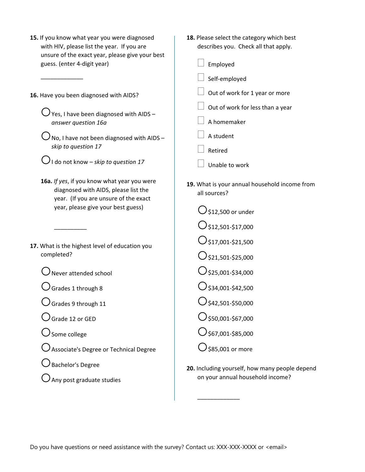| 15. If you know what year you were diagnosed    |
|-------------------------------------------------|
| with HIV, please list the year. If you are      |
| unsure of the exact year, please give your best |
| guess. (enter 4-digit year)                     |

**16.** Have you been diagnosed with AIDS?

\_\_\_\_\_\_\_\_\_\_\_\_\_

 $\bigcup$  Yes, I have been diagnosed with AIDS – *answer question 16a*

 $\bigcup$  No, I have not been diagnosed with AIDS – *skip to question 17*

 $\bigcup$  I do not know – *skip to question 17* 

- **16a.** *If yes*, if you know what year you were diagnosed with AIDS, please list the year. (If you are unsure of the exact year, please give your best guess)
- **17.** What is the highest level of education you completed?

○Never attended school

 $\bigcirc$  Grades 1 through 8

\_\_\_\_\_\_\_\_\_\_

 $\bigcirc$  Grades 9 through 11

- ○Grade 12 or GED
- ○Some college

○Associate's Degree or Technical Degree

- $\bigcup$  Bachelor's Degree
- $\bigcup$  Any post graduate studies

**18.** Please select the category which best describes you. Check all that apply.

| $\Box$ Employed                         |
|-----------------------------------------|
| $\Box$ Self-employed                    |
| $\Box$ Out of work for 1 year or more   |
| $\Box$ Out of work for less than a year |
| $\Box$ A homemaker                      |

- A student
- Retired
- Unable to work
- **19.** What is your annual household income from all sources?

 $\bigcirc$ \$12,500 or under  $\bigcirc$ \$12,501-\$17,000  $\bigcirc$ \$17,001-\$21,500  $O$ \$21,501-\$25,000  $\bigcirc$ \$25,001-\$34,000  $O$ \$34,001-\$42,500  $\bigcirc$ \$42,501-\$50,000  $\bigcirc$ \$50,001-\$67,000  $\bigcirc$ \$67,001-\$85,000  $\bigcirc$  \$85,001 or more

\_\_\_\_\_\_\_\_\_\_\_\_\_

**20.** Including yourself, how many people depend on your annual household income?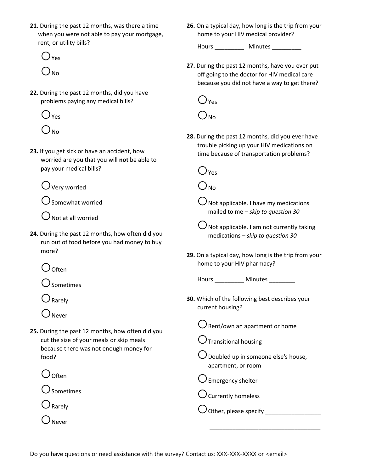**21.** During the past 12 months, was there a time when you were not able to pay your mortgage, rent, or utility bills?

 $()_{Yes}$  $O_{\text{No}}$ 

**22.** During the past 12 months, did you have problems paying any medical bills?

○Yes

 $O_{\text{No}}$ 

**23.** If you get sick or have an accident, how worried are you that you will **not** be able to pay your medical bills?

 $\bigcirc$  Very worried

 $\bigcirc$  Somewhat worried

 $\bigcirc$  Not at all worried

**24.** During the past 12 months, how often did you run out of food before you had money to buy more?

○Often

○Sometimes

○Rarely

- ○Never
- **25.** During the past 12 months, how often did you cut the size of your meals or skip meals because there was not enough money for food?

○Often

 $\bigcirc$  Sometimes

 $\bigcirc$  Rarely

 $\sum_{N \in \mathcal{N}}$ 

**26.** On a typical day, how long is the trip from your home to your HIV medical provider?

Hours \_\_\_\_\_\_\_\_\_ Minutes \_\_\_\_\_\_\_\_\_

**27.** During the past 12 months, have you ever put off going to the doctor for HIV medical care because you did not have a way to get there?

( )  $_{\rm Yes}$ 

 $O_{\text{No}}$ 

**28.** During the past 12 months, did you ever have trouble picking up your HIV medications on time because of transportation problems?

 $()_{\forall \mathsf{es}}$ 

 $O_{\textsf{No}}$ 

 $\bigcirc$  Not applicable. I have my medications mailed to me – *skip to question 30*

 $\bigcup$  Not applicable. I am not currently taking medications – *skip to question 30*

**29.** On a typical day, how long is the trip from your home to your HIV pharmacy?

Hours \_\_\_\_\_\_\_\_\_ Minutes \_\_\_\_\_\_\_\_

- **30.** Which of the following best describes your current housing?
	- $\bigcirc$  Rent/own an apartment or home

 $\bigcirc$  Transitional housing

 $\bigcup$  Doubled up in someone else's house, apartment, or room

\_\_\_\_\_\_\_\_\_\_\_\_\_\_\_\_\_\_\_\_\_\_\_\_\_\_\_\_\_\_\_\_\_\_

 $\bigcup$  Emergency shelter

○Currently homeless

○Other, please specify \_\_\_\_\_\_\_\_\_\_\_\_\_\_\_\_\_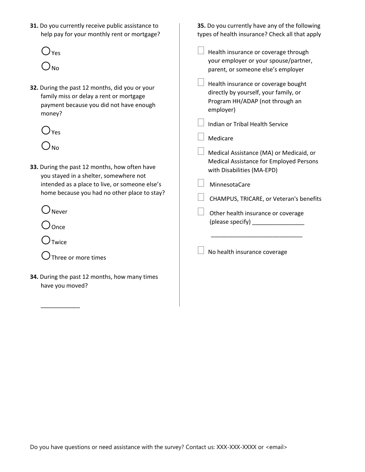**31.** Do you currently receive public assistance to help pay for your monthly rent or mortgage?



- **32.** During the past 12 months, did you or your family miss or delay a rent or mortgage payment because you did not have enough money?
	- $O<sub>Yes</sub>$  $\bigcirc$ <sub>No</sub>
- **33.** During the past 12 months, how often have you stayed in a shelter, somewhere not intended as a place to live, or someone else's home because you had no other place to stay?

○Never

O once

 $\bigcirc$ Twice

\_\_\_\_\_\_\_\_\_\_\_\_

○Three or more times

**34.** During the past 12 months, how many times have you moved?

**35.** Do you currently have any of the following types of health insurance? Check all that apply Health insurance or coverage through your employer or your spouse/partner, parent, or someone else's employer  $\Box$  Health insurance or coverage bought

directly by yourself, your family, or Program HH/ADAP (not through an employer)

Indian or Tribal Health Service

Medicare

 $\perp$  Medical Assistance (MA) or Medicaid, or Medical Assistance for Employed Persons with Disabilities (MA-EPD)

MinnesotaCare

CHAMPUS, TRICARE, or Veteran's benefits

 Other health insurance or coverage (please specify) \_\_\_\_\_\_\_\_\_\_\_\_\_\_\_\_

\_\_\_\_\_\_\_\_\_\_\_\_\_\_\_\_\_\_\_\_\_\_\_\_\_\_\_\_

No health insurance coverage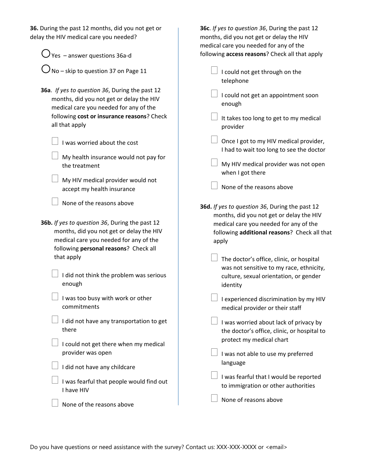| 36. During the past 12 months, did you not get or<br>delay the HIV medical care you needed?                                                                                        | 36c. If yes to question 36, During the past 12<br>months, did you not get or delay the HIV<br>medical care you needed for any of the        |
|------------------------------------------------------------------------------------------------------------------------------------------------------------------------------------|---------------------------------------------------------------------------------------------------------------------------------------------|
| $\bigcup$ Yes – answer questions 36a-d                                                                                                                                             | following access reasons? Check all that apply                                                                                              |
| No - skip to question 37 on Page 11                                                                                                                                                | I could not get through on the<br>telephone                                                                                                 |
| 36a. If yes to question 36, During the past 12<br>months, did you not get or delay the HIV<br>medical care you needed for any of the<br>following cost or insurance reasons? Check | I could not get an appointment soon<br>enough<br>It takes too long to get to my medical                                                     |
| all that apply                                                                                                                                                                     | provider                                                                                                                                    |
| I was worried about the cost                                                                                                                                                       | Once I got to my HIV medical provider,<br>I had to wait too long to see the doctor                                                          |
| My health insurance would not pay for<br>the treatment                                                                                                                             | My HIV medical provider was not open<br>when I got there                                                                                    |
| My HIV medical provider would not<br>accept my health insurance                                                                                                                    | None of the reasons above                                                                                                                   |
| None of the reasons above                                                                                                                                                          | 36d. If yes to question 36, During the past 12                                                                                              |
| 36b. If yes to question 36, During the past 12<br>months, did you not get or delay the HIV<br>medical care you needed for any of the<br>following personal reasons? Check all      | months, did you not get or delay the HIV<br>medical care you needed for any of the<br>following additional reasons? Check all that<br>apply |
| that apply                                                                                                                                                                         | The doctor's office, clinic, or hospital<br>was not sensitive to my race, ethnicity,                                                        |
| I did not think the problem was serious<br>enough                                                                                                                                  | culture, sexual orientation, or gender<br>identity                                                                                          |
| I was too busy with work or other<br>commitments                                                                                                                                   | I experienced discrimination by my HIV<br>medical provider or their staff                                                                   |
| I did not have any transportation to get<br>there                                                                                                                                  | I was worried about lack of privacy by<br>the doctor's office, clinic, or hospital to                                                       |
| I could not get there when my medical<br>provider was open                                                                                                                         | protect my medical chart                                                                                                                    |
| I did not have any childcare                                                                                                                                                       | I was not able to use my preferred<br>language                                                                                              |
| I was fearful that people would find out                                                                                                                                           | I was fearful that I would be reported<br>to immigration or other authorities                                                               |
| I have HIV<br>None of the reasons above                                                                                                                                            | None of reasons above                                                                                                                       |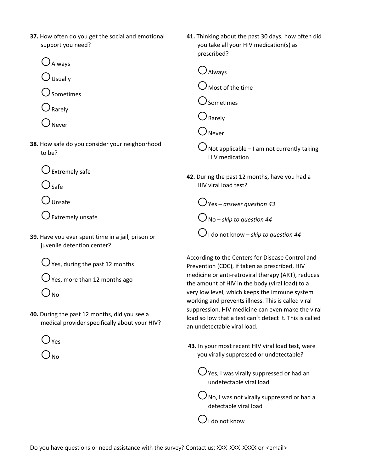**37.** How often do you get the social and emotional support you need?

○Always

 $\bigcirc$  Usually

○Sometimes

○Rarely

○Never

**38.** How safe do you consider your neighborhood to be?

 $\bigcirc$  Extremely safe

 $\bigcirc$ Safe

 $\bigcirc$  Unsafe

 $\bigcup$  Extremely unsafe

**39.** Have you ever spent time in a jail, prison or juvenile detention center?

 $\bigcirc$  Yes, during the past 12 months

 $\bigcirc$  Yes, more than 12 months ago

 $\bigcirc$ <sub>No</sub>

**40.** During the past 12 months, did you see a medical provider specifically about your HIV?

 $)_{Yes}$ 

 $O_{\text{No}}$ 

- **41.** Thinking about the past 30 days, how often did you take all your HIV medication(s) as prescribed?
	- ○Always  $\bigcup$  Most of the time ○Sometimes ○Rarely ○Never  $\dot{a}$  Not applicable – I am not currently taking HIV medication
- **42.** During the past 12 months, have you had a HIV viral load test?
	- ○Yes *answer question 43* ○No – *skip to question 44*  $\bigcirc$  I do not know – *skip to question 44*

According to the Centers for Disease Control and Prevention (CDC), if taken as prescribed, HIV medicine or anti-retroviral therapy (ART), reduces the amount of HIV in the body (viral load) to a very low level, which keeps the immune system working and prevents illness. This is called viral suppression. HIV medicine can even make the viral load so low that a test can't detect it. This is called an undetectable viral load.

**43.** In your most recent HIV viral load test, were you virally suppressed or undetectable?

 $\bigcup$  Yes, I was virally suppressed or had an undetectable viral load

 $\bigcup$  No, I was not virally suppressed or had a detectable viral load

 $\bigcirc$ I do not know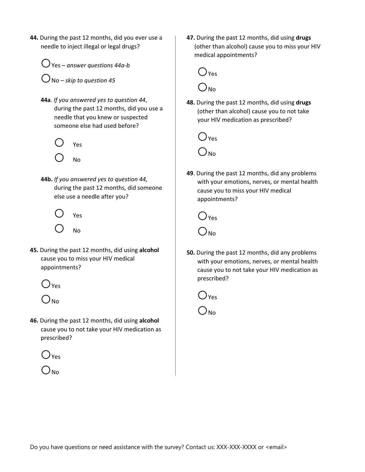**44.** During the past 12 months, did you ever use a needle to inject illegal or legal drugs?

○Yes – *answer questions 44a-b*

○No – *skip to question 45*

**44a**. *If you answered yes to question 44*, during the past 12 months, did you use a needle that you knew or suspected someone else had used before?





**44b.** *If you answered yes to question 44,*  during the past 12 months, did someone else use a needle after you?



**45.** During the past 12 months, did using **alcohol**  cause you to miss your HIV medical appointments?



 $\bigcap_{N\cap\Omega}$ 

**46.** During the past 12 months, did using **alcohol**  cause you to not take your HIV medication as prescribed?

 $\bigcirc_{\text{Yes}}$ 



**47.** During the past 12 months, did using **drugs** (other than alcohol) cause you to miss your HIV medical appointments?



**48.** During the past 12 months, did using **drugs** (other than alcohol) cause you to not take your HIV medication as prescribed?



**49**. During the past 12 months, did any problems with your emotions, nerves, or mental health cause you to miss your HIV medical appointments?



**50.** During the past 12 months, did any problems with your emotions, nerves, or mental health cause you to not take your HIV medication as prescribed?

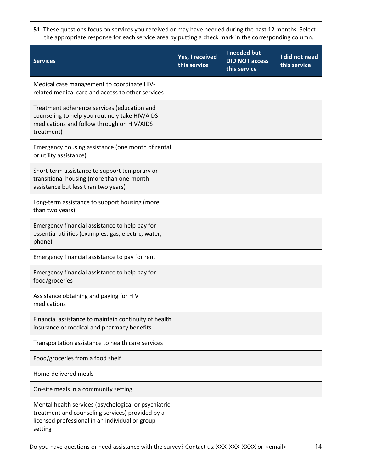**51.** These questions focus on services you received or may have needed during the past 12 months. Select the appropriate response for each service area by putting a check mark in the corresponding column.

| <b>Services</b>                                                                                                                                                        | Yes, I received<br>this service | I needed but<br><b>DID NOT access</b><br>this service | I did not need<br>this service |
|------------------------------------------------------------------------------------------------------------------------------------------------------------------------|---------------------------------|-------------------------------------------------------|--------------------------------|
| Medical case management to coordinate HIV-<br>related medical care and access to other services                                                                        |                                 |                                                       |                                |
| Treatment adherence services (education and<br>counseling to help you routinely take HIV/AIDS<br>medications and follow through on HIV/AIDS<br>treatment)              |                                 |                                                       |                                |
| Emergency housing assistance (one month of rental<br>or utility assistance)                                                                                            |                                 |                                                       |                                |
| Short-term assistance to support temporary or<br>transitional housing (more than one-month<br>assistance but less than two years)                                      |                                 |                                                       |                                |
| Long-term assistance to support housing (more<br>than two years)                                                                                                       |                                 |                                                       |                                |
| Emergency financial assistance to help pay for<br>essential utilities (examples: gas, electric, water,<br>phone)                                                       |                                 |                                                       |                                |
| Emergency financial assistance to pay for rent                                                                                                                         |                                 |                                                       |                                |
| Emergency financial assistance to help pay for<br>food/groceries                                                                                                       |                                 |                                                       |                                |
| Assistance obtaining and paying for HIV<br>medications                                                                                                                 |                                 |                                                       |                                |
| Financial assistance to maintain continuity of health<br>insurance or medical and pharmacy benefits                                                                    |                                 |                                                       |                                |
| Transportation assistance to health care services                                                                                                                      |                                 |                                                       |                                |
| Food/groceries from a food shelf                                                                                                                                       |                                 |                                                       |                                |
| Home-delivered meals                                                                                                                                                   |                                 |                                                       |                                |
| On-site meals in a community setting                                                                                                                                   |                                 |                                                       |                                |
| Mental health services (psychological or psychiatric<br>treatment and counseling services) provided by a<br>licensed professional in an individual or group<br>setting |                                 |                                                       |                                |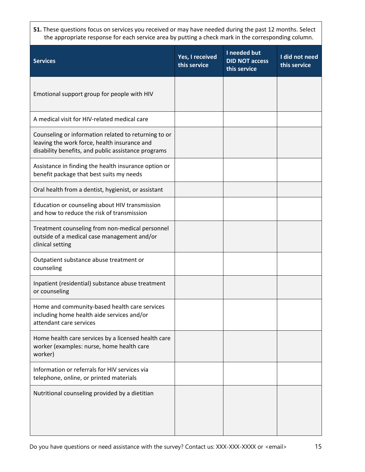**51.** These questions focus on services you received or may have needed during the past 12 months. Select the appropriate response for each service area by putting a check mark in the corresponding column.

| <b>Services</b>                                                                                                                                             | Yes, I received<br>this service | I needed but<br><b>DID NOT access</b><br>this service | I did not need<br>this service |
|-------------------------------------------------------------------------------------------------------------------------------------------------------------|---------------------------------|-------------------------------------------------------|--------------------------------|
| Emotional support group for people with HIV                                                                                                                 |                                 |                                                       |                                |
| A medical visit for HIV-related medical care                                                                                                                |                                 |                                                       |                                |
| Counseling or information related to returning to or<br>leaving the work force, health insurance and<br>disability benefits, and public assistance programs |                                 |                                                       |                                |
| Assistance in finding the health insurance option or<br>benefit package that best suits my needs                                                            |                                 |                                                       |                                |
| Oral health from a dentist, hygienist, or assistant                                                                                                         |                                 |                                                       |                                |
| Education or counseling about HIV transmission<br>and how to reduce the risk of transmission                                                                |                                 |                                                       |                                |
| Treatment counseling from non-medical personnel<br>outside of a medical case management and/or<br>clinical setting                                          |                                 |                                                       |                                |
| Outpatient substance abuse treatment or<br>counseling                                                                                                       |                                 |                                                       |                                |
| Inpatient (residential) substance abuse treatment<br>or counseling                                                                                          |                                 |                                                       |                                |
| Home and community-based health care services<br>including home health aide services and/or<br>attendant care services                                      |                                 |                                                       |                                |
| Home health care services by a licensed health care<br>worker (examples: nurse, home health care<br>worker)                                                 |                                 |                                                       |                                |
| Information or referrals for HIV services via<br>telephone, online, or printed materials                                                                    |                                 |                                                       |                                |
| Nutritional counseling provided by a dietitian                                                                                                              |                                 |                                                       |                                |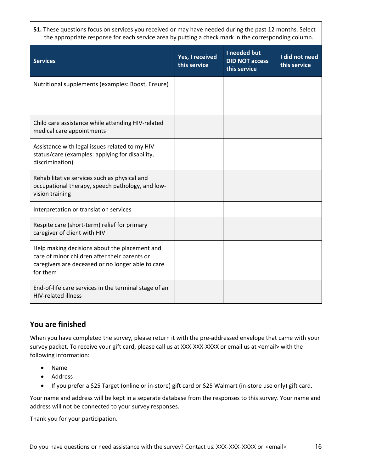**51.** These questions focus on services you received or may have needed during the past 12 months. Select the appropriate response for each service area by putting a check mark in the corresponding column.

| <b>Services</b>                                                                                                                                                 | Yes, I received<br>this service | I needed but<br><b>DID NOT access</b><br>this service | I did not need<br>this service |
|-----------------------------------------------------------------------------------------------------------------------------------------------------------------|---------------------------------|-------------------------------------------------------|--------------------------------|
| Nutritional supplements (examples: Boost, Ensure)                                                                                                               |                                 |                                                       |                                |
| Child care assistance while attending HIV-related<br>medical care appointments                                                                                  |                                 |                                                       |                                |
| Assistance with legal issues related to my HIV<br>status/care (examples: applying for disability,<br>discrimination)                                            |                                 |                                                       |                                |
| Rehabilitative services such as physical and<br>occupational therapy, speech pathology, and low-<br>vision training                                             |                                 |                                                       |                                |
| Interpretation or translation services                                                                                                                          |                                 |                                                       |                                |
| Respite care (short-term) relief for primary<br>caregiver of client with HIV                                                                                    |                                 |                                                       |                                |
| Help making decisions about the placement and<br>care of minor children after their parents or<br>caregivers are deceased or no longer able to care<br>for them |                                 |                                                       |                                |
| End-of-life care services in the terminal stage of an<br><b>HIV-related illness</b>                                                                             |                                 |                                                       |                                |

## **You are finished**

When you have completed the survey, please return it with the pre-addressed envelope that came with your survey packet. To receive your gift card, please call us at XXX-XXX-XXXX or email us at <email> with the following information:

- Name
- Address
- If you prefer a \$25 Target (online or in-store) gift card or \$25 Walmart (in-store use only) gift card.

Your name and address will be kept in a separate database from the responses to this survey. Your name and address will not be connected to your survey responses.

Thank you for your participation.